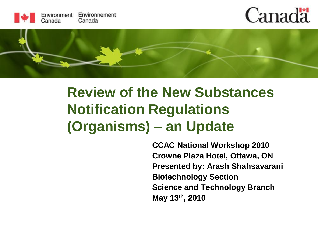

## **Canada**



#### **Review of the New Substances Notification Regulations (Organisms) – an Update**

**CCAC National Workshop 2010 Crowne Plaza Hotel, Ottawa, ON Presented by: Arash Shahsavarani Biotechnology Section Science and Technology Branch May 13th, 2010**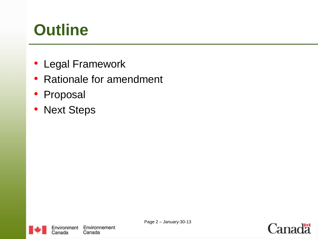## **Outline**

- Legal Framework
- Rationale for amendment
- Proposal
- Next Steps



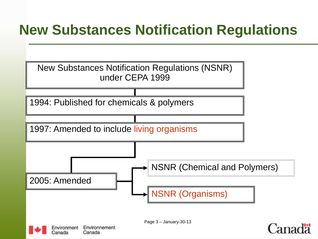#### **New Substances Notification Regulations**

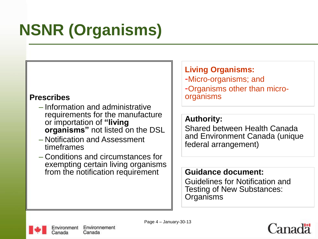# **NSNR (Organisms)**

#### **Prescribes**

- Information and administrative requirements for the manufacture or importation of **"living organisms"** not listed on the DSL
- Notification and Assessment timeframes
- Conditions and circumstances for exempting certain living organisms from the notification requirement  $\|\cdot\|$  **Guidance document:**

#### **Living Organisms:**

-Micro-organisms; and -Organisms other than microorganisms

#### **Authority:**

Shared between Health Canada and Environment Canada (unique federal arrangement)

Guidelines for Notification and Testing of New Substances: **Organisms** 



Page 4 – January-30-13

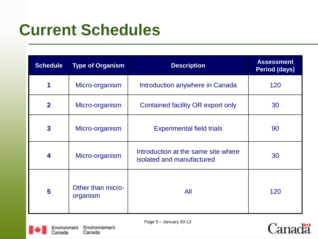#### **Current Schedules**

| <b>Schedule</b> | <b>Type of Organism</b>       | <b>Description</b>                                               | <b>Assessment</b><br><b>Period (days)</b> |
|-----------------|-------------------------------|------------------------------------------------------------------|-------------------------------------------|
| 1               | Micro-organism                | Introduction anywhere in Canada                                  | 120                                       |
| $\overline{2}$  | Micro-organism                | Contained facility OR export only                                | 30                                        |
| $\mathbf{3}$    | Micro-organism                | <b>Experimental field trials</b>                                 | 90                                        |
| 4               | Micro-organism                | Introduction at the same site where<br>isolated and manufactured | 30                                        |
| $5\phantom{1}$  | Other than micro-<br>organism | All                                                              | 120                                       |



Page 5 – January-30-13

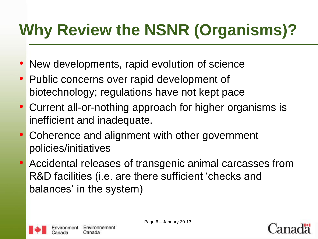## **Why Review the NSNR (Organisms)?**

- New developments, rapid evolution of science
- Public concerns over rapid development of biotechnology; regulations have not kept pace
- Current all-or-nothing approach for higher organisms is inefficient and inadequate.
- Coherence and alignment with other government policies/initiatives
- Accidental releases of transgenic animal carcasses from R&D facilities (i.e. are there sufficient 'checks and balances' in the system)



Page 6 – January-30-13

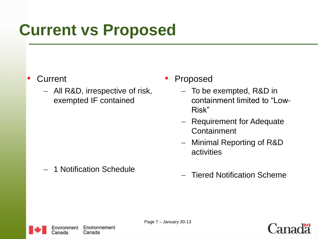#### **Current vs Proposed**

#### • Current

- All R&D, irrespective of risk, exempted IF contained
- **Proposed** 
	- To be exempted, R&D in containment limited to "Low-Risk"
	- Requirement for Adequate **Containment**
	- Minimal Reporting of R&D activities

1 Notification Schedule

– Tiered Notification Scheme



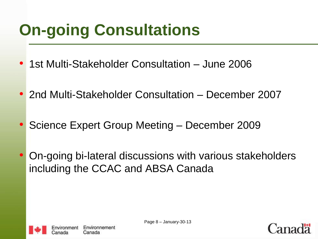## **On-going Consultations**

- 1st Multi-Stakeholder Consultation June 2006
- 2nd Multi-Stakeholder Consultation December 2007
- Science Expert Group Meeting December 2009
- On-going bi-lateral discussions with various stakeholders including the CCAC and ABSA Canada



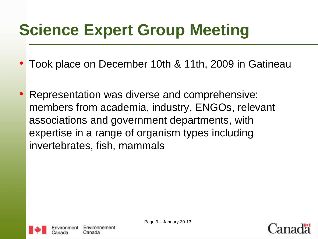## **Science Expert Group Meeting**

- Took place on December 10th & 11th, 2009 in Gatineau
- Representation was diverse and comprehensive: members from academia, industry, ENGOs, relevant associations and government departments, with expertise in a range of organism types including invertebrates, fish, mammals



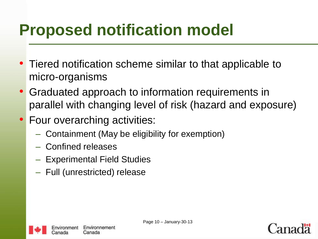## **Proposed notification model**

- Tiered notification scheme similar to that applicable to micro-organisms
- Graduated approach to information requirements in parallel with changing level of risk (hazard and exposure)
- Four overarching activities:
	- Containment (May be eligibility for exemption)
	- Confined releases
	- Experimental Field Studies
	- Full (unrestricted) release



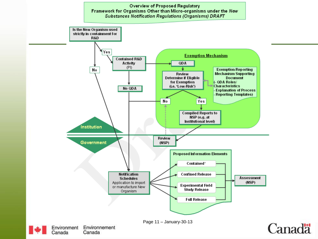#### Overview of Proposed Regulatory Framework for Organisms Other than Micro-organisms under the New **Substances Notification Regulations (Organisms) DRAFT**

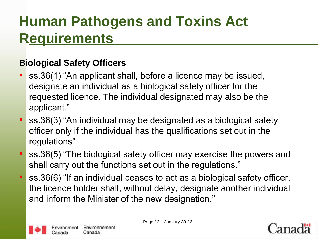#### **Human Pathogens and Toxins Act Requirements**

#### **Biological Safety Officers**

- ss.36(1) "An applicant shall, before a licence may be issued, designate an individual as a biological safety officer for the requested licence. The individual designated may also be the applicant."
- ss.36(3) "An individual may be designated as a biological safety officer only if the individual has the qualifications set out in the regulations"
- ss.36(5) "The biological safety officer may exercise the powers and shall carry out the functions set out in the regulations."
- ss.36(6) "If an individual ceases to act as a biological safety officer, the licence holder shall, without delay, designate another individual and inform the Minister of the new designation."



Page 12 – January-30-13

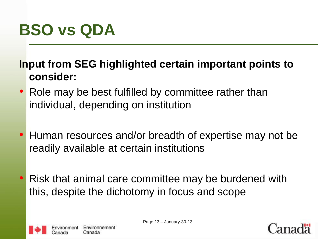#### **BSO vs QDA**

**Input from SEG highlighted certain important points to consider:**

- Role may be best fulfilled by committee rather than individual, depending on institution
- Human resources and/or breadth of expertise may not be readily available at certain institutions
- Risk that animal care committee may be burdened with this, despite the dichotomy in focus and scope



Page 13 – January-30-13

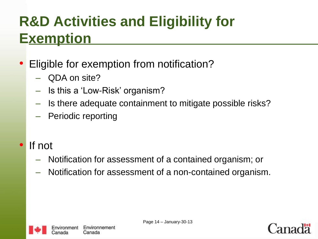#### **R&D Activities and Eligibility for Exemption**

#### • Eligible for exemption from notification?

- QDA on site?
- Is this a 'Low-Risk' organism?
- Is there adequate containment to mitigate possible risks?
- Periodic reporting
- If not
	- Notification for assessment of a contained organism; or
	- Notification for assessment of a non-contained organism.



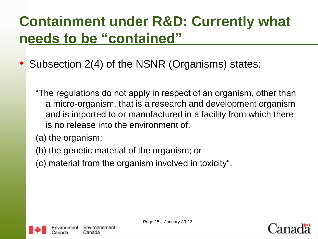#### **Containment under R&D: Currently what needs to be "contained"**

- Subsection 2(4) of the NSNR (Organisms) states:
	- "The regulations do not apply in respect of an organism, other than a micro-organism, that is a research and development organism and is imported to or manufactured in a facility from which there is no release into the environment of:
	- (a) the organism;
	- (b) the genetic material of the organism; or
	- (c) material from the organism involved in toxicity".



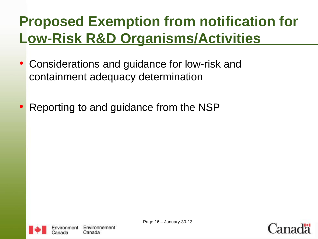#### **Proposed Exemption from notification for Low-Risk R&D Organisms/Activities**

- Considerations and guidance for low-risk and containment adequacy determination
- Reporting to and guidance from the NSP



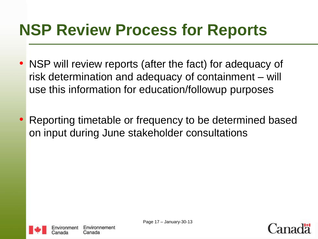#### **NSP Review Process for Reports**

- NSP will review reports (after the fact) for adequacy of risk determination and adequacy of containment – will use this information for education/followup purposes
- Reporting timetable or frequency to be determined based on input during June stakeholder consultations



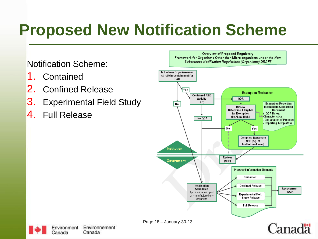## **Proposed New Notification Scheme**